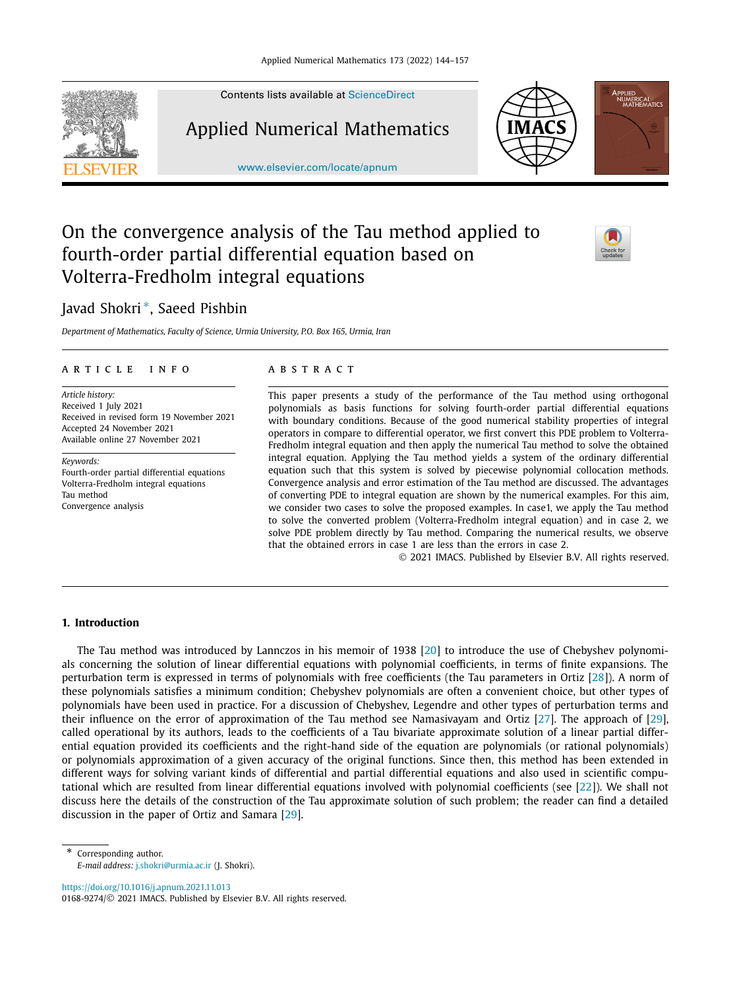

Contents lists available at [ScienceDirect](http://www.ScienceDirect.com/)

Applied Numerical Mathematics

[www.elsevier.com/locate/apnum](http://www.elsevier.com/locate/apnum)





# On the convergence analysis of the Tau method applied to fourth-order partial differential equation based on Volterra-Fredholm integral equations

## Javad Shokri <sup>∗</sup>, Saeed Pishbin

*Department of Mathematics, Faculty of Science, Urmia University, P.O. Box 165, Urmia, Iran*

#### A R T I C L E IN F O A B S T R A C T

*Article history:* Received 1 July 2021 Received in revised form 19 November 2021 Accepted 24 November 2021 Available online 27 November 2021

*Keywords:* Fourth-order partial differential equations Volterra-Fredholm integral equations Tau method Convergence analysis

This paper presents a study of the performance of the Tau method using orthogonal polynomials as basis functions for solving fourth-order partial differential equations with boundary conditions. Because of the good numerical stability properties of integral operators in compare to differential operator, we first convert this PDE problem to Volterra-Fredholm integral equation and then apply the numerical Tau method to solve the obtained integral equation. Applying the Tau method yields a system of the ordinary differential equation such that this system is solved by piecewise polynomial collocation methods. Convergence analysis and error estimation of the Tau method are discussed. The advantages of converting PDE to integral equation are shown by the numerical examples. For this aim, we consider two cases to solve the proposed examples. In case1, we apply the Tau method to solve the converted problem (Volterra-Fredholm integral equation) and in case 2, we solve PDE problem directly by Tau method. Comparing the numerical results, we observe that the obtained errors in case 1 are less than the errors in case 2.

© 2021 IMACS. Published by Elsevier B.V. All rights reserved.

#### **1. Introduction**

The Tau method was introduced by Lannczos in his memoir of 1938 [[20](#page-13-0)] to introduce the use of Chebyshev polynomials concerning the solution of linear differential equations with polynomial coefficients, in terms of finite expansions. The perturbation term is expressed in terms of polynomials with free coefficients (the Tau parameters in Ortiz [\[28\]](#page-13-0)). A norm of these polynomials satisfies a minimum condition; Chebyshev polynomials are often a convenient choice, but other types of polynomials have been used in practice. For a discussion of Chebyshev, Legendre and other types of perturbation terms and their influence on the error of approximation of the Tau method see Namasivayam and Ortiz [\[27](#page-13-0)]. The approach of [\[29\]](#page-13-0), called operational by its authors, leads to the coefficients of a Tau bivariate approximate solution of a linear partial differential equation provided its coefficients and the right-hand side of the equation are polynomials (or rational polynomials) or polynomials approximation of a given accuracy of the original functions. Since then, this method has been extended in different ways for solving variant kinds of differential and partial differential equations and also used in scientific computational which are resulted from linear differential equations involved with polynomial coefficients (see [[22](#page-13-0)]). We shall not discuss here the details of the construction of the Tau approximate solution of such problem; the reader can find a detailed discussion in the paper of Ortiz and Samara [\[29\]](#page-13-0).

<https://doi.org/10.1016/j.apnum.2021.11.013> 0168-9274/© 2021 IMACS. Published by Elsevier B.V. All rights reserved.

<sup>\*</sup> Corresponding author. *E-mail address:* [j.shokri@urmia.ac.ir](mailto:j.shokri@urmia.ac.ir) (J. Shokri).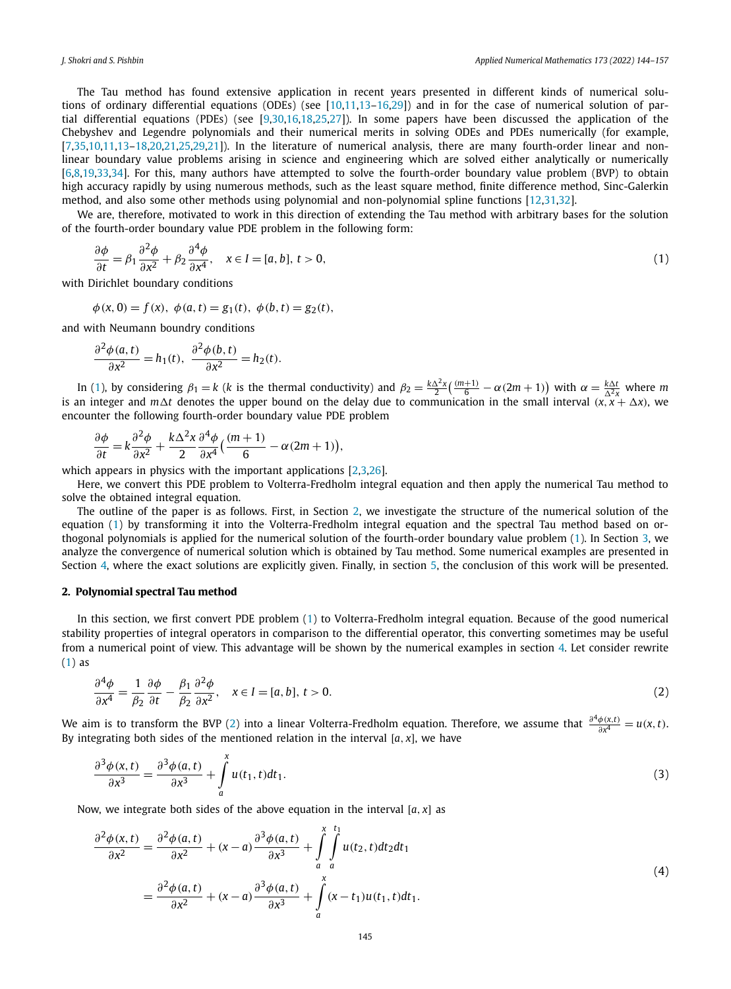<span id="page-1-0"></span>The Tau method has found extensive application in recent years presented in different kinds of numerical solutions of ordinary differential equations (ODEs) (see [\[10,11,13–16](#page-12-0)[,29](#page-13-0)]) and in for the case of numerical solution of partial differential equations (PDEs) (see [[9](#page-12-0)[,30](#page-13-0)[,16,](#page-12-0)[18,25,27](#page-13-0)]). In some papers have been discussed the application of the Chebyshev and Legendre polynomials and their numerical merits in solving ODEs and PDEs numerically (for example, [[7](#page-12-0)[,35](#page-13-0)[,10,11,13](#page-12-0)[–18,20,21,25,29](#page-13-0),[21](#page-13-0)]). In the literature of numerical analysis, there are many fourth-order linear and nonlinear boundary value problems arising in science and engineering which are solved either analytically or numerically [[6,8,](#page-12-0)[19](#page-13-0),[33,34](#page-13-0)]. For this, many authors have attempted to solve the fourth-order boundary value problem (BVP) to obtain high accuracy rapidly by using numerous methods, such as the least square method, finite difference method, Sinc-Galerkin method, and also some other methods using polynomial and non-polynomial spline functions [\[12,](#page-12-0)[31,32\]](#page-13-0).

We are, therefore, motivated to work in this direction of extending the Tau method with arbitrary bases for the solution of the fourth-order boundary value PDE problem in the following form:

$$
\frac{\partial \phi}{\partial t} = \beta_1 \frac{\partial^2 \phi}{\partial x^2} + \beta_2 \frac{\partial^4 \phi}{\partial x^4}, \quad x \in I = [a, b], \ t > 0,
$$
\n<sup>(1)</sup>

with Dirichlet boundary conditions

$$
\phi(x, 0) = f(x), \ \phi(a, t) = g_1(t), \ \phi(b, t) = g_2(t),
$$

and with Neumann boundry conditions

$$
\frac{\partial^2 \phi(a,t)}{\partial x^2} = h_1(t), \ \frac{\partial^2 \phi(b,t)}{\partial x^2} = h_2(t).
$$

In (1), by considering  $\beta_1 = k$  (*k* is the thermal conductivity) and  $\beta_2 = \frac{k\Delta^2 x}{2} \left( \frac{(m+1)}{6} - \alpha (2m+1) \right)$  with  $\alpha = \frac{k\Delta t}{\Delta^2 x}$  where *m* is an integer and  $m\Delta t$  denotes the upper bound on the delay due to comm encounter the following fourth-order boundary value PDE problem

$$
\frac{\partial \phi}{\partial t} = k \frac{\partial^2 \phi}{\partial x^2} + \frac{k \Delta^2 x}{2} \frac{\partial^4 \phi}{\partial x^4} \left( \frac{(m+1)}{6} - \alpha (2m+1) \right),
$$

which appears in physics with the important applications [\[2,3](#page-12-0)[,26](#page-13-0)].

Here, we convert this PDE problem to Volterra-Fredholm integral equation and then apply the numerical Tau method to solve the obtained integral equation.

The outline of the paper is as follows. First, in Section 2, we investigate the structure of the numerical solution of the equation (1) by transforming it into the Volterra-Fredholm integral equation and the spectral Tau method based on orthogonal polynomials is applied for the numerical solution of the fourth-order boundary value problem (1). In Section [3,](#page-5-0) we analyze the convergence of numerical solution which is obtained by Tau method. Some numerical examples are presented in Section [4,](#page-9-0) where the exact solutions are explicitly given. Finally, in section [5](#page-12-0), the conclusion of this work will be presented.

#### **2. Polynomial spectral Tau method**

In this section, we first convert PDE problem (1) to Volterra-Fredholm integral equation. Because of the good numerical stability properties of integral operators in comparison to the differential operator, this converting sometimes may be useful from a numerical point of view. This advantage will be shown by the numerical examples in section [4](#page-9-0). Let consider rewrite (1) as

$$
\frac{\partial^4 \phi}{\partial x^4} = \frac{1}{\beta_2} \frac{\partial \phi}{\partial t} - \frac{\beta_1}{\beta_2} \frac{\partial^2 \phi}{\partial x^2}, \quad x \in I = [a, b], \ t > 0.
$$
\n(2)

We aim is to transform the BVP (2) into a linear Volterra-Fredholm equation. Therefore, we assume that  $\frac{\partial^4 \phi(x,t)}{\partial x^4} = u(x,t)$ . By integrating both sides of the mentioned relation in the interval  $[a, x]$ , we have

$$
\frac{\partial^3 \phi(x,t)}{\partial x^3} = \frac{\partial^3 \phi(a,t)}{\partial x^3} + \int_a^x u(t_1,t)dt_1.
$$
\n(3)

Now, we integrate both sides of the above equation in the interval  $[a, x]$  as

$$
\frac{\partial^2 \phi(x,t)}{\partial x^2} = \frac{\partial^2 \phi(a,t)}{\partial x^2} + (x-a) \frac{\partial^3 \phi(a,t)}{\partial x^3} + \int_a^x \int_a^{t_1} u(t_2,t)dt_2 dt_1
$$
  
= 
$$
\frac{\partial^2 \phi(a,t)}{\partial x^2} + (x-a) \frac{\partial^3 \phi(a,t)}{\partial x^3} + \int_a^x (x-t_1)u(t_1,t)dt_1.
$$
 (4)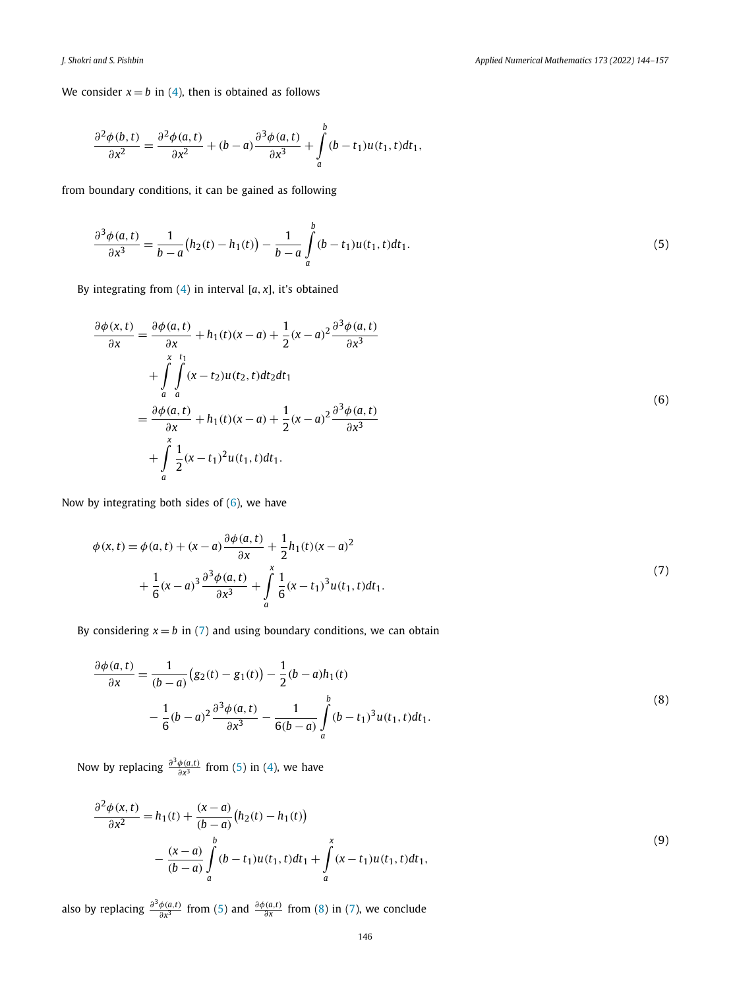<span id="page-2-0"></span>We consider  $x = b$  in ([4](#page-1-0)), then is obtained as follows

$$
\frac{\partial^2 \phi(b,t)}{\partial x^2} = \frac{\partial^2 \phi(a,t)}{\partial x^2} + (b-a) \frac{\partial^3 \phi(a,t)}{\partial x^3} + \int_a^b (b-t_1) u(t_1,t) dt_1,
$$

from boundary conditions, it can be gained as following

$$
\frac{\partial^3 \phi(a,t)}{\partial x^3} = \frac{1}{b-a} (h_2(t) - h_1(t)) - \frac{1}{b-a} \int_a^b (b-t_1) u(t_1,t) dt_1.
$$
\n(5)

By integrating from  $(4)$  in interval  $[a, x]$ , it's obtained

$$
\frac{\partial \phi(x,t)}{\partial x} = \frac{\partial \phi(a,t)}{\partial x} + h_1(t)(x-a) + \frac{1}{2}(x-a)^2 \frac{\partial^3 \phi(a,t)}{\partial x^3} \n+ \int_{a}^{x} \int_{a}^{t_1} (x-t_2)u(t_2,t)dt_2dt_1 \n= \frac{\partial \phi(a,t)}{\partial x} + h_1(t)(x-a) + \frac{1}{2}(x-a)^2 \frac{\partial^3 \phi(a,t)}{\partial x^3} \n+ \int_{a}^{x} \frac{1}{2}(x-t_1)^2 u(t_1,t)dt_1.
$$
\n(6)

Now by integrating both sides of  $(6)$ , we have

$$
\phi(x,t) = \phi(a,t) + (x-a)\frac{\partial \phi(a,t)}{\partial x} + \frac{1}{2}h_1(t)(x-a)^2 + \frac{1}{6}(x-a)^3 \frac{\partial^3 \phi(a,t)}{\partial x^3} + \int_a^x \frac{1}{6}(x-t_1)^3 u(t_1,t)dt_1.
$$
\n(7)

By considering  $x = b$  in (7) and using boundary conditions, we can obtain

$$
\frac{\partial \phi(a,t)}{\partial x} = \frac{1}{(b-a)} (g_2(t) - g_1(t)) - \frac{1}{2} (b-a) h_1(t)
$$
  

$$
- \frac{1}{6} (b-a)^2 \frac{\partial^3 \phi(a,t)}{\partial x^3} - \frac{1}{6(b-a)} \int_a^b (b-t_1)^3 u(t_1,t) dt_1.
$$
 (8)

Now by replacing  $\frac{\partial^3 \phi(a,t)}{\partial x^3}$  from (5) in ([4](#page-1-0)), we have

$$
\frac{\partial^2 \phi(x,t)}{\partial x^2} = h_1(t) + \frac{(x-a)}{(b-a)} (h_2(t) - h_1(t))
$$
  
 
$$
- \frac{(x-a)}{(b-a)} \int_a^b (b-t_1)u(t_1,t)dt_1 + \int_a^x (x-t_1)u(t_1,t)dt_1,
$$
 (9)

also by replacing  $\frac{\partial^3 \phi(a,t)}{\partial x^3}$  from (5) and  $\frac{\partial \phi(a,t)}{\partial x}$  from (8) in (7), we conclude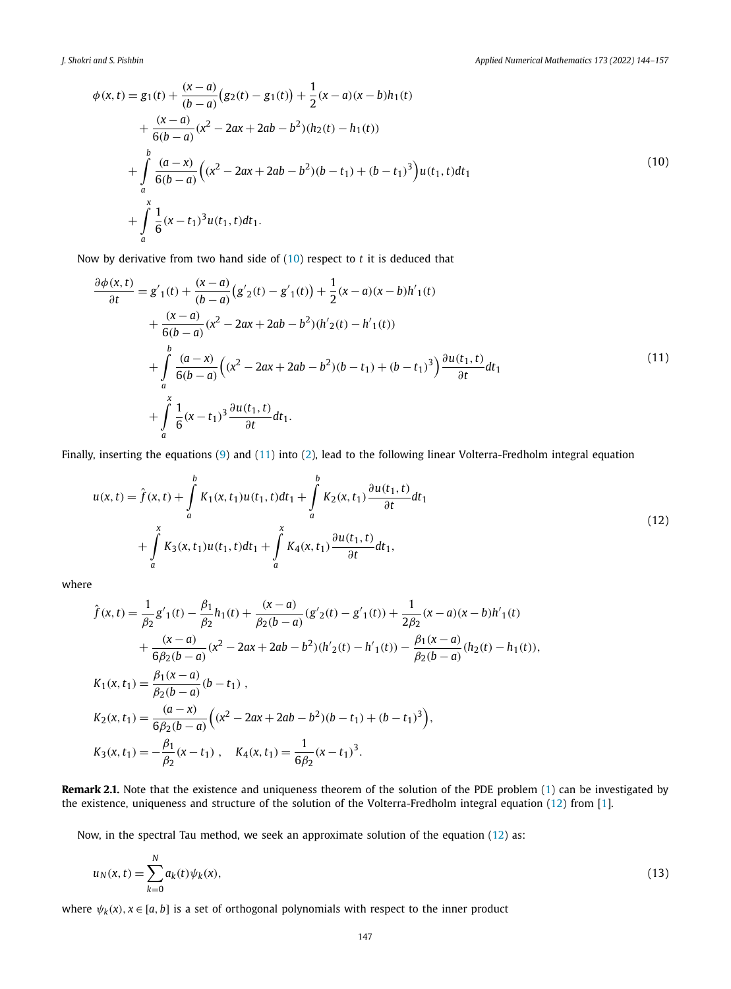<span id="page-3-0"></span>
$$
\phi(x,t) = g_1(t) + \frac{(x-a)}{(b-a)}(g_2(t) - g_1(t)) + \frac{1}{2}(x-a)(x-b)h_1(t)
$$
  
+ 
$$
\frac{(x-a)}{6(b-a)}(x^2 - 2ax + 2ab - b^2)(h_2(t) - h_1(t))
$$
  
+ 
$$
\int_a^b \frac{(a-x)}{6(b-a)}((x^2 - 2ax + 2ab - b^2)(b - t_1) + (b - t_1)^3)u(t_1, t)dt_1
$$
  
+ 
$$
\int_a^x \frac{1}{6}(x - t_1)^3 u(t_1, t)dt_1.
$$
 (10)

Now by derivative from two hand side of (10) respect to *t* it is deduced that

1

$$
\frac{\partial \phi(x,t)}{\partial t} = g'_{1}(t) + \frac{(x-a)}{(b-a)}(g'_{2}(t) - g'_{1}(t)) + \frac{1}{2}(x-a)(x-b)h'_{1}(t) \n+ \frac{(x-a)}{6(b-a)}(x^{2} - 2ax + 2ab - b^{2})(h'_{2}(t) - h'_{1}(t)) \n+ \int_{a}^{b} \frac{(a-x)}{6(b-a)}((x^{2} - 2ax + 2ab - b^{2})(b-t_{1}) + (b-t_{1})^{3}) \frac{\partial u(t_{1},t)}{\partial t} dt_{1} \n+ \int_{a}^{x} \frac{1}{6}(x-t_{1})^{3} \frac{\partial u(t_{1},t)}{\partial t} dt_{1}.
$$
\n(11)

Finally, inserting the equations [\(9\)](#page-2-0) and (11) into [\(2\)](#page-1-0), lead to the following linear Volterra-Fredholm integral equation

$$
u(x,t) = \hat{f}(x,t) + \int_{a}^{b} K_1(x,t_1)u(t_1,t)dt_1 + \int_{a}^{b} K_2(x,t_1)\frac{\partial u(t_1,t)}{\partial t}dt_1
$$
  
+ 
$$
\int_{a}^{x} K_3(x,t_1)u(t_1,t)dt_1 + \int_{a}^{x} K_4(x,t_1)\frac{\partial u(t_1,t)}{\partial t}dt_1,
$$
 (12)

where

$$
\hat{f}(x,t) = \frac{1}{\beta_2} g'_1(t) - \frac{\beta_1}{\beta_2} h_1(t) + \frac{(x-a)}{\beta_2(b-a)} (g'_2(t) - g'_1(t)) + \frac{1}{2\beta_2} (x-a)(x-b)h'_1(t) \n+ \frac{(x-a)}{6\beta_2(b-a)} (x^2 - 2ax + 2ab - b^2)(h'_2(t) - h'_1(t)) - \frac{\beta_1(x-a)}{\beta_2(b-a)} (h_2(t) - h_1(t)),
$$
\n
$$
K_1(x,t_1) = \frac{\beta_1(x-a)}{\beta_2(b-a)} (b-t_1),
$$
\n
$$
K_2(x,t_1) = \frac{(a-x)}{6\beta_2(b-a)} \Big( (x^2 - 2ax + 2ab - b^2)(b-t_1) + (b-t_1)^3 \Big),
$$
\n
$$
K_3(x,t_1) = -\frac{\beta_1}{\beta_2} (x-t_1), \quad K_4(x,t_1) = \frac{1}{6\beta_2} (x-t_1)^3.
$$

**Remark 2.1.** Note that the existence and uniqueness theorem of the solution of the PDE problem [\(1](#page-1-0)) can be investigated by the existence, uniqueness and structure of the solution of the Volterra-Fredholm integral equation (12) from [\[1](#page-12-0)].

Now, in the spectral Tau method, we seek an approximate solution of the equation (12) as:

$$
u_N(x,t) = \sum_{k=0}^{N} a_k(t)\psi_k(x),
$$
\n(13)

where  $\psi_k(x)$ ,  $x \in [a, b]$  is a set of orthogonal polynomials with respect to the inner product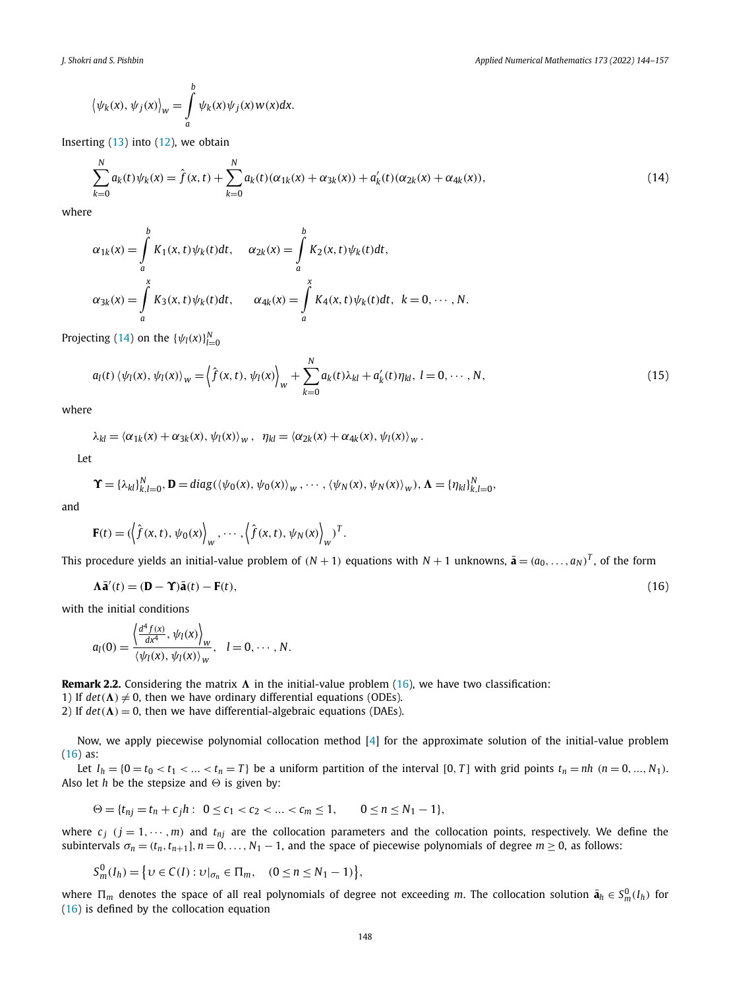<span id="page-4-0"></span>
$$
\langle \psi_k(x), \psi_j(x) \rangle_w = \int_a^b \psi_k(x) \psi_j(x) w(x) dx.
$$

Inserting  $(13)$  $(13)$  into  $(12)$ , we obtain

$$
\sum_{k=0}^{N} a_k(t)\psi_k(x) = \hat{f}(x,t) + \sum_{k=0}^{N} a_k(t)(\alpha_{1k}(x) + \alpha_{3k}(x)) + a'_k(t)(\alpha_{2k}(x) + \alpha_{4k}(x)),
$$
\n(14)

where

$$
\alpha_{1k}(x) = \int_a^b K_1(x, t)\psi_k(t)dt, \quad \alpha_{2k}(x) = \int_a^b K_2(x, t)\psi_k(t)dt,
$$
  

$$
\alpha_{3k}(x) = \int_a^x K_3(x, t)\psi_k(t)dt, \quad \alpha_{4k}(x) = \int_a^x K_4(x, t)\psi_k(t)dt, \quad k = 0, \dots, N.
$$

Projecting (14) on the  $\{\psi_l(x)\}_{l=0}^N$ 

$$
a_{l}(t)\left\langle \psi_{l}(x),\psi_{l}(x)\right\rangle_{w}=\left\langle \hat{f}(x,t),\psi_{l}(x)\right\rangle_{w}+\sum_{k=0}^{N}a_{k}(t)\lambda_{kl}+a_{k}'(t)\eta_{kl},\ l=0,\cdots,N,
$$
\n(15)

where

$$
\lambda_{kl} = \langle \alpha_{1k}(x) + \alpha_{3k}(x), \psi_l(x) \rangle_w, \ \eta_{kl} = \langle \alpha_{2k}(x) + \alpha_{4k}(x), \psi_l(x) \rangle_w.
$$

Let

$$
\Upsilon = {\lambda_{kl}}_{k,l=0}^N, \mathbf{D} = diag(\langle \psi_0(x), \psi_0(x) \rangle_W, \cdots, \langle \psi_N(x), \psi_N(x) \rangle_W), \Lambda = {\eta_{kl}}_{k,l=0}^N,
$$

and

$$
\mathbf{F}(t) = \left\langle \left\langle \hat{f}(x, t), \psi_0(x) \right\rangle_w, \cdots, \left\langle \hat{f}(x, t), \psi_N(x) \right\rangle_w \right\rangle^T.
$$

This procedure yields an initial-value problem of  $(N + 1)$  equations with  $N + 1$  unknowns,  $\bar{a} = (a_0, \ldots, a_N)^T$ , of the form

$$
\mathbf{\Lambda}\mathbf{\bar{a}}'(t) = (\mathbf{D} - \mathbf{\Upsilon})\mathbf{\bar{a}}(t) - \mathbf{F}(t),\tag{16}
$$

with the initial conditions

$$
a_l(0) = \frac{\left\langle \frac{d^4 f(x)}{dx^4}, \psi_l(x) \right\rangle_w}{\left\langle \psi_l(x), \psi_l(x) \right\rangle_w}, \quad l = 0, \cdots, N.
$$

**Remark 2.2.** Considering the matrix  $\Lambda$  in the initial-value problem (16), we have two classification:

1) If  $det(\Lambda) \neq 0$ , then we have ordinary differential equations (ODEs).

2) If  $det(\Lambda) = 0$ , then we have differential-algebraic equations (DAEs).

Now, we apply piecewise polynomial collocation method [\[4](#page-12-0)] for the approximate solution of the initial-value problem  $(16)$  as:

Let  $I_h = \{0 = t_0 < t_1 < ... < t_n = T\}$  be a uniform partition of the interval [0, T] with grid points  $t_n = nh$  ( $n = 0, ..., N_1$ ). Also let  $h$  be the stepsize and  $\Theta$  is given by:

 $\Theta = \{t_{nj} = t_n + c_j h : 0 \leq c_1 < c_2 < ... < c_m \leq 1, \quad 0 \leq n \leq N_1 - 1\},\$ 

where  $c_j$  ( $j = 1, \dots, m$ ) and  $t_{nj}$  are the collocation parameters and the collocation points, respectively. We define the subintervals  $\sigma_n = (t_n, t_{n+1}], n = 0, \ldots, N_1 - 1$ , and the space of piecewise polynomials of degree  $m \ge 0$ , as follows:

$$
S_m^0(I_h) = \{ v \in C(I) : v|_{\sigma_n} \in \Pi_m, \quad (0 \le n \le N_1 - 1) \},\
$$

where  $\Pi_m$  denotes the space of all real polynomials of degree not exceeding *m*. The collocation solution  $\bar{\bm{a}}_h \in S_m^0(I_h)$  for (16) is defined by the collocation equation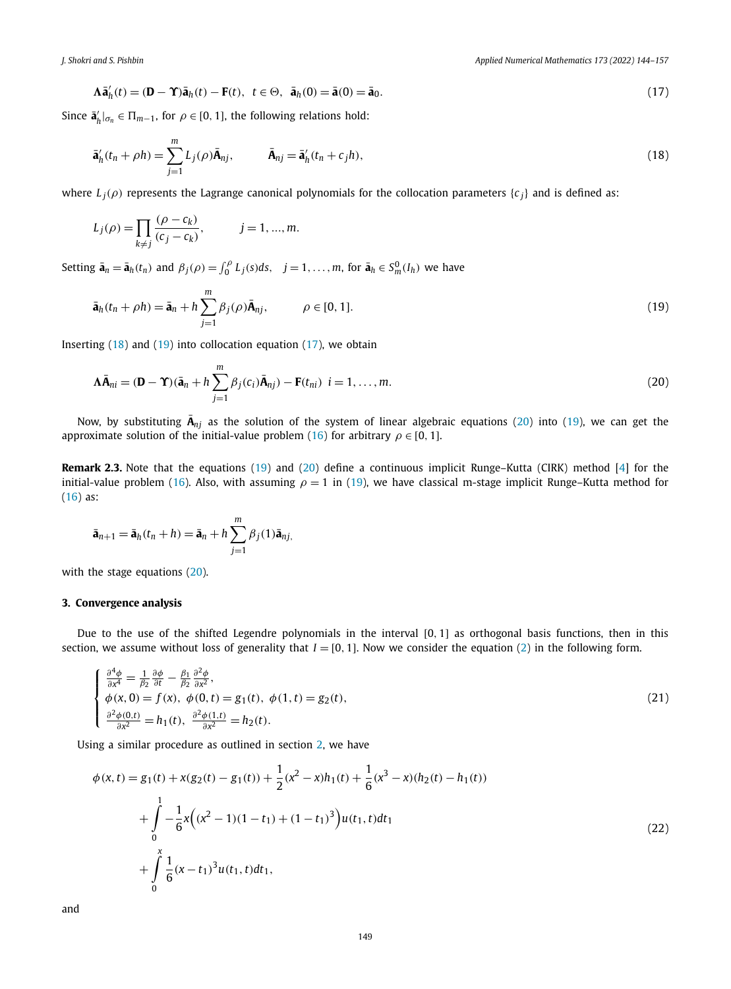<span id="page-5-0"></span>*J. Shokri and S. Pishbin Applied Numerical Mathematics 173 (2022) 144–157*

$$
\mathbf{\Lambda}\bar{\mathbf{a}}'_h(t) = (\mathbf{D} - \mathbf{\Upsilon})\bar{\mathbf{a}}_h(t) - \mathbf{F}(t), \ t \in \Theta, \ \bar{\mathbf{a}}_h(0) = \bar{\mathbf{a}}(0) = \bar{\mathbf{a}}_0. \tag{17}
$$

Since  $\bar{\mathbf{a}}'_h|_{\sigma_n} \in \Pi_{m-1}$ , for  $\rho \in [0, 1]$ , the following relations hold:

$$
\bar{\mathbf{a}}'_h(t_n + \rho h) = \sum_{j=1}^m L_j(\rho) \bar{\mathbf{A}}_{nj}, \qquad \bar{\mathbf{A}}_{nj} = \bar{\mathbf{a}}'_h(t_n + c_j h), \qquad (18)
$$

where  $L_i(\rho)$  represents the Lagrange canonical polynomials for the collocation parameters  $\{c_i\}$  and is defined as:

$$
L_j(\rho) = \prod_{k \neq j} \frac{(\rho - c_k)}{(c_j - c_k)}, \qquad j = 1, ..., m.
$$

Setting  $\bar{\mathbf{a}}_n = \bar{\mathbf{a}}_h(t_n)$  and  $\beta_j(\rho) = \int_0^{\rho} L_j(s) ds$ ,  $j = 1, ..., m$ , for  $\bar{\mathbf{a}}_h \in S_m^0(I_h)$  we have

$$
\bar{\mathbf{a}}_h(t_n + \rho h) = \bar{\mathbf{a}}_n + h \sum_{j=1}^m \beta_j(\rho) \bar{\mathbf{A}}_{nj}, \qquad \rho \in [0, 1].
$$
\n(19)

Inserting (18) and (19) into collocation equation (17), we obtain

$$
\mathbf{\Lambda}\bar{\mathbf{A}}_{ni} = (\mathbf{D} - \mathbf{\Upsilon})(\bar{\mathbf{a}}_n + h \sum_{j=1}^m \beta_j(c_i)\bar{\mathbf{A}}_{nj}) - \mathbf{F}(t_{ni}) \ \ i = 1, \dots, m. \tag{20}
$$

Now, by substituting  $\bar{A}_{nj}$  as the solution of the system of linear algebraic equations (20) into (19), we can get the approximate solution of the initial-value problem ([16](#page-4-0)) for arbitrary  $\rho \in [0, 1]$ .

**Remark 2.3.** Note that the equations (19) and (20) define a continuous implicit Runge–Kutta (CIRK) method [\[4\]](#page-12-0) for the initial-value problem [\(16\)](#page-4-0). Also, with assuming  $\rho = 1$  in (19), we have classical m-stage implicit Runge–Kutta method for ([16](#page-4-0)) as:

$$
\bar{\mathbf{a}}_{n+1} = \bar{\mathbf{a}}_h(t_n + h) = \bar{\mathbf{a}}_n + h \sum_{j=1}^m \beta_j(1) \bar{\mathbf{a}}_{nj},
$$

with the stage equations (20).

#### **3. Convergence analysis**

Due to the use of the shifted Legendre polynomials in the interval [0*,* 1] as orthogonal basis functions, then in this section, we assume without loss of generality that  $I = [0, 1]$ . Now we consider the equation ([2](#page-1-0)) in the following form.

$$
\begin{cases}\n\frac{\partial^4 \phi}{\partial x^4} = \frac{1}{\beta_2} \frac{\partial \phi}{\partial t} - \frac{\beta_1}{\beta_2} \frac{\partial^2 \phi}{\partial x^2}, \n\phi(x, 0) = f(x), \ \phi(0, t) = g_1(t), \ \phi(1, t) = g_2(t), \n\frac{\partial^2 \phi(0, t)}{\partial x^2} = h_1(t), \ \frac{\partial^2 \phi(1, t)}{\partial x^2} = h_2(t).\n\end{cases}
$$
\n(21)

Using a similar procedure as outlined in section [2](#page-1-0), we have

$$
\phi(x,t) = g_1(t) + x(g_2(t) - g_1(t)) + \frac{1}{2}(x^2 - x)h_1(t) + \frac{1}{6}(x^3 - x)(h_2(t) - h_1(t))
$$
  
+ 
$$
\int_0^1 -\frac{1}{6}x((x^2 - 1)(1 - t_1) + (1 - t_1)^3)u(t_1, t)dt_1
$$
  
+ 
$$
\int_0^x \frac{1}{6}(x - t_1)^3 u(t_1, t)dt_1,
$$
 (22)

and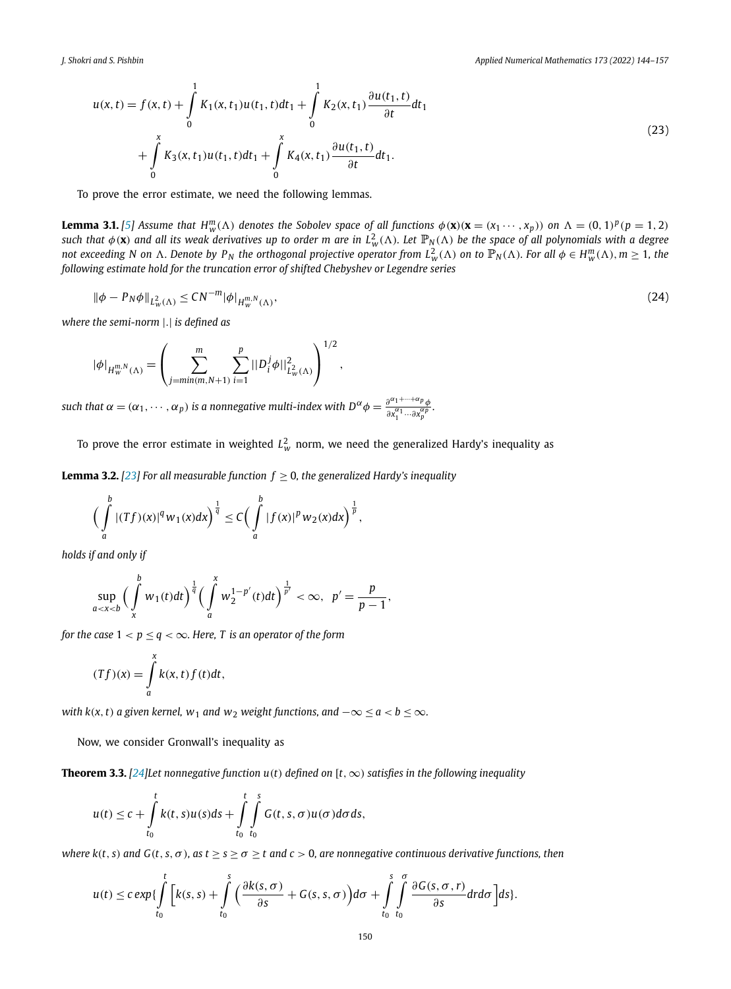<span id="page-6-0"></span>
$$
u(x,t) = f(x,t) + \int_{0}^{1} K_1(x,t_1)u(t_1,t)dt_1 + \int_{0}^{1} K_2(x,t_1) \frac{\partial u(t_1,t)}{\partial t} dt_1
$$
  
+ 
$$
\int_{0}^{x} K_3(x,t_1)u(t_1,t)dt_1 + \int_{0}^{x} K_4(x,t_1) \frac{\partial u(t_1,t)}{\partial t} dt_1.
$$
 (23)

To prove the error estimate, we need the following lemmas.

**Lemma 3.1.** [[5](#page-12-0)] Assume that  $H_w^m(\Lambda)$  denotes the Sobolev space of all functions  $\phi(\mathbf{x})(\mathbf{x}=(x_1\cdots,x_p))$  on  $\Lambda=(0,1)^p(p=1,2)$ such that  $\phi$  (**x**) and all its weak derivatives up to order m are in  $L^2_w(\Lambda)$ . Let  $\mathbb{P}_N(\Lambda)$  be the space of all polynomials with a degree not exceeding N on  $\Lambda$ . Denote by P<sub>N</sub> the orthogonal projective operator from  $L^2_w(\Lambda)$  on to  $\mathbb{P}_N(\Lambda)$ . For all  $\phi\in H^m_w(\Lambda), m\geq 1$ , the *following estimate hold for the truncation error of shifted Chebyshev or Legendre series*

$$
\|\phi - P_N\phi\|_{L^2_w(\Lambda)} \le C N^{-m} |\phi|_{H^{m,N}_w(\Lambda)},\tag{24}
$$

*where the semi-norm* |*.*| *is defined as*

$$
|\phi|_{H_w^{m,N}(\Lambda)} = \left(\sum_{j=\min(m,N+1)}^m \sum_{i=1}^p ||D_i^j \phi||_{L_w^2(\Lambda)}^2\right)^{1/2},
$$

such that  $\alpha=(\alpha_1,\cdots,\alpha_p)$  is a nonnegative multi-index with  $D^{\alpha}\phi=\frac{\partial^{\alpha_1+\cdots+\alpha_p}\phi}{\partial x_1^{\alpha_1}\cdots\partial x_p^{\alpha_p}}$ .

To prove the error estimate in weighted  $L^2_w$  norm, we need the generalized Hardy's inequality as

**Lemma 3.2.** [[23](#page-13-0)] For all measurable function  $f \ge 0$ , the generalized Hardy's inequality

$$
\Big(\int_a^b |(Tf)(x)|^q w_1(x) dx\Big)^{\frac{1}{q}} \leq C\Big(\int_a^b |f(x)|^p w_2(x) dx\Big)^{\frac{1}{p}},
$$

*holds if and only if*

$$
\sup_{a
$$

*for the case*  $1 < p \le q < \infty$ *. Here, T is an operator of the form* 

$$
(Tf)(x) = \int_{a}^{x} k(x, t) f(t) dt,
$$

*with*  $k(x, t)$  *a* given kernel,  $w_1$  *and*  $w_2$  *weight functions,*  $and -\infty \le a < b \le \infty$ *.* 

Now, we consider Gronwall's inequality as

**Theorem 3.3.** [\[24](#page-13-0)] Let nonnegative function  $u(t)$  defined on [t,  $\infty$ ) satisfies in the following inequality

$$
u(t) \leq c + \int_{t_0}^t k(t,s)u(s)ds + \int_{t_0}^t \int_{t_0}^s G(t,s,\sigma)u(\sigma)d\sigma ds,
$$

where  $k(t, s)$  and  $G(t, s, \sigma)$ , as  $t \geq s \geq \sigma \geq t$  and  $c > 0$ , are nonnegative continuous derivative functions, then

$$
u(t) \leq c \exp\{\int\limits_{t_0}^t \Big[k(s,s)+\int\limits_{t_0}^s \Big(\frac{\partial k(s,\sigma)}{\partial s}+G(s,s,\sigma)\Big)d\sigma+\int\limits_{t_0}^s \int\limits_{t_0}^{\sigma} \frac{\partial G(s,\sigma,r)}{\partial s}dr d\sigma\Big]ds\}.
$$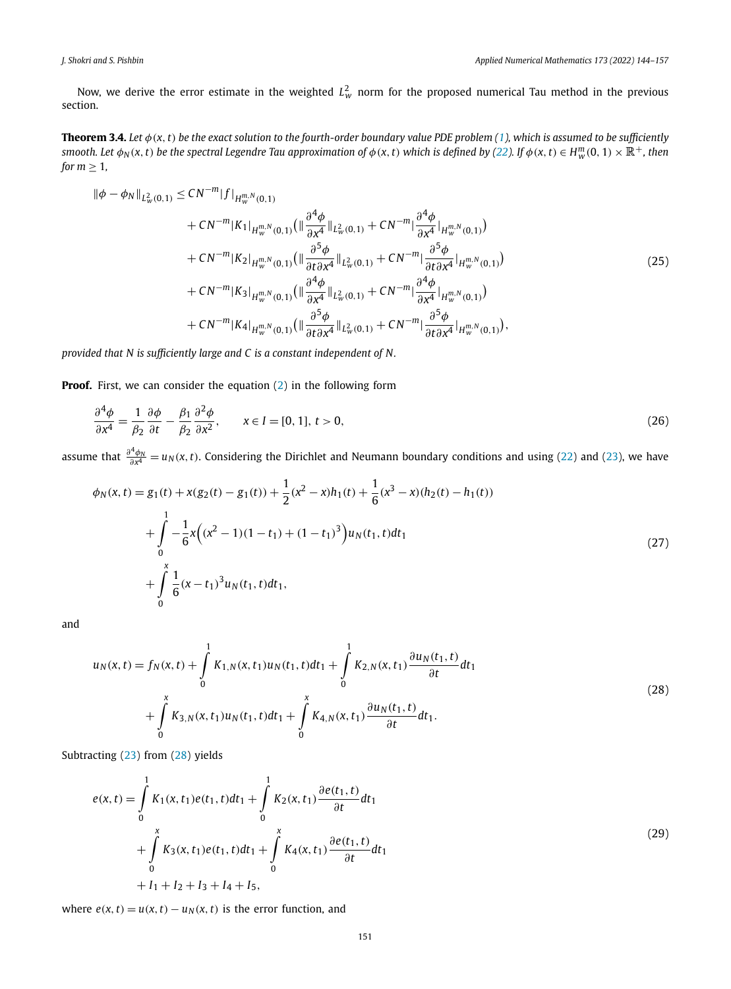<span id="page-7-0"></span>Now, we derive the error estimate in the weighted  $L^2_w$  norm for the proposed numerical Tau method in the previous section.

**Theorem 3.4.** Let  $\phi$ (x, t) be the exact solution to the fourth-order boundary value PDE problem ([1](#page-1-0)), which is assumed to be sufficiently smooth. Let  $\phi_N(x,t)$  be the spectral Legendre Tau approximation of  $\phi(x,t)$  which is defined by [\(22\)](#page-5-0). If  $\phi(x,t) \in H^m_w(0,1) \times \mathbb{R}^+$ , then *for*  $m \geq 1$ *,* 

$$
\begin{split}\n\|\phi - \phi_N\|_{L^2_w(0,1)} &\leq CN^{-m} |f|_{H^{m,N}_w(0,1)} \\
&+ CN^{-m} |K_1|_{H^{m,N}_w(0,1)} \left( \|\frac{\partial^4 \phi}{\partial x^4}\|_{L^2_w(0,1)} + CN^{-m} |\frac{\partial^4 \phi}{\partial x^4}|_{H^{m,N}_w(0,1)} \right) \\
&+ CN^{-m} |K_2|_{H^{m,N}_w(0,1)} \left( \|\frac{\partial^5 \phi}{\partial t \partial x^4}\|_{L^2_w(0,1)} + CN^{-m} |\frac{\partial^5 \phi}{\partial t \partial x^4}|_{H^{m,N}_w(0,1)} \right) \\
&+ CN^{-m} |K_3|_{H^{m,N}_w(0,1)} \left( \|\frac{\partial^4 \phi}{\partial x^4}\|_{L^2_w(0,1)} + CN^{-m} |\frac{\partial^4 \phi}{\partial x^4}|_{H^{m,N}_w(0,1)} \right) \\
&+ CN^{-m} |K_4|_{H^{m,N}_w(0,1)} \left( \|\frac{\partial^5 \phi}{\partial t \partial x^4}\|_{L^2_w(0,1)} + CN^{-m} |\frac{\partial^5 \phi}{\partial t \partial x^4}|_{H^{m,N}_w(0,1)} \right),\n\end{split} \tag{25}
$$

*provided that N is sufficiently large and C is a constant independent of N.*

**Proof.** First, we can consider the equation ([2](#page-1-0)) in the following form

$$
\frac{\partial^4 \phi}{\partial x^4} = \frac{1}{\beta_2} \frac{\partial \phi}{\partial t} - \frac{\beta_1}{\beta_2} \frac{\partial^2 \phi}{\partial x^2}, \qquad x \in I = [0, 1], t > 0,
$$
\n(26)

assume that  $\frac{\partial^4 \phi_N}{\partial x^4} = u_N(x, t)$ . Considering the Dirichlet and Neumann boundary conditions and using [\(22\)](#page-5-0) and [\(23\)](#page-6-0), we have

$$
\phi_N(x,t) = g_1(t) + x(g_2(t) - g_1(t)) + \frac{1}{2}(x^2 - x)h_1(t) + \frac{1}{6}(x^3 - x)(h_2(t) - h_1(t))
$$
  
+ 
$$
\int_0^1 -\frac{1}{6}x((x^2 - 1)(1 - t_1) + (1 - t_1)^3)u_N(t_1, t)dt_1
$$
  
+ 
$$
\int_0^x \frac{1}{6}(x - t_1)^3u_N(t_1, t)dt_1,
$$
 (27)

and

$$
u_N(x,t) = f_N(x,t) + \int_0^1 K_{1,N}(x,t_1)u_N(t_1,t)dt_1 + \int_0^1 K_{2,N}(x,t_1)\frac{\partial u_N(t_1,t)}{\partial t}dt_1
$$
  
+ 
$$
\int_0^x K_{3,N}(x,t_1)u_N(t_1,t)dt_1 + \int_0^x K_{4,N}(x,t_1)\frac{\partial u_N(t_1,t)}{\partial t}dt_1.
$$
 (28)

Subtracting [\(23](#page-6-0)) from (28) yields

$$
e(x,t) = \int_{0}^{1} K_{1}(x,t_{1})e(t_{1},t)dt_{1} + \int_{0}^{1} K_{2}(x,t_{1})\frac{\partial e(t_{1},t)}{\partial t}dt_{1} + \int_{0}^{x} K_{3}(x,t_{1})e(t_{1},t)dt_{1} + \int_{0}^{x} K_{4}(x,t_{1})\frac{\partial e(t_{1},t)}{\partial t}dt_{1} + I_{1} + I_{2} + I_{3} + I_{4} + I_{5},
$$
\n(29)

where  $e(x, t) = u(x, t) - u_N(x, t)$  is the error function, and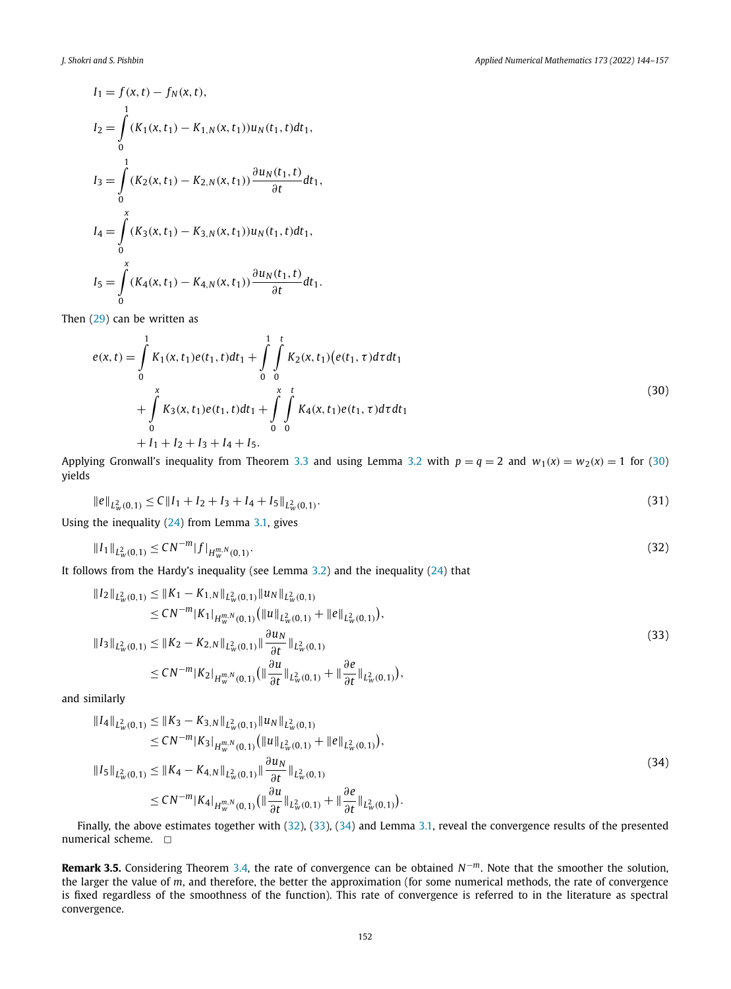$$
I_1 = f(x, t) - f_N(x, t),
$$
  
\n
$$
I_2 = \int_0^1 (K_1(x, t_1) - K_{1,N}(x, t_1)) u_N(t_1, t) dt_1,
$$
  
\n
$$
I_3 = \int_0^1 (K_2(x, t_1) - K_{2,N}(x, t_1)) \frac{\partial u_N(t_1, t)}{\partial t} dt_1,
$$
  
\n
$$
I_4 = \int_0^x (K_3(x, t_1) - K_{3,N}(x, t_1)) u_N(t_1, t) dt_1,
$$
  
\n
$$
I_5 = \int_0^x (K_4(x, t_1) - K_{4,N}(x, t_1)) \frac{\partial u_N(t_1, t)}{\partial t} dt_1.
$$

Then [\(29](#page-7-0)) can be written as

$$
e(x,t) = \int_{0}^{1} K_{1}(x,t_{1})e(t_{1},t)dt_{1} + \int_{0}^{1} \int_{0}^{t} K_{2}(x,t_{1})\left(e(t_{1},\tau)d\tau dt_{1}\right) + \int_{0}^{x} K_{3}(x,t_{1})e(t_{1},t)dt_{1} + \int_{0}^{x} \int_{0}^{t} K_{4}(x,t_{1})e(t_{1},\tau)d\tau dt_{1} + I_{1} + I_{2} + I_{3} + I_{4} + I_{5}.
$$
\n(30)

Applying Gronwall's inequality from Theorem [3.3](#page-6-0) and using Lemma [3.2](#page-6-0) with  $p = q = 2$  and  $w_1(x) = w_2(x) = 1$  for (30) yields

$$
\|e\|_{L^2_{\mathcal{W}}(0,1)} \le C \|I_1 + I_2 + I_3 + I_4 + I_5\|_{L^2_{\mathcal{W}}(0,1)}.
$$
\n(31)

Using the inequality ([24\)](#page-6-0) from Lemma [3.1](#page-6-0), gives

$$
||I_1||_{L^2_w(0,1)} \le CN^{-m}|f|_{H^{m,N}_w(0,1)}.
$$
\n(32)

It follows from the Hardy's inequality (see Lemma  $3.2$ ) and the inequality ([24](#page-6-0)) that

$$
\begin{split} \|I_{2}\|_{L^{2}_{w}(0,1)} &\leq \|K_{1} - K_{1,N}\|_{L^{2}_{w}(0,1)} \|u_{N}\|_{L^{2}_{w}(0,1)} \\ &\leq CN^{-m} |K_{1}|_{H_{w}^{m,N}(0,1)} \left(\|u\|_{L^{2}_{w}(0,1)} + \|e\|_{L^{2}_{w}(0,1)}\right), \\ \|I_{3}\|_{L^{2}_{w}(0,1)} &\leq \|K_{2} - K_{2,N}\|_{L^{2}_{w}(0,1)} \|\frac{\partial u_{N}}{\partial t}\|_{L^{2}_{w}(0,1)} \\ &\leq CN^{-m} |K_{2}|_{H_{w}^{m,N}(0,1)} \left(\|\frac{\partial u}{\partial t}\|_{L^{2}_{w}(0,1)} + \|\frac{\partial e}{\partial t}\|_{L^{2}_{w}(0,1)}\right), \end{split} \tag{33}
$$

and similarly

$$
||I_{4}||_{L^{2}_{w}(0,1)} \leq ||K_{3} - K_{3,N}||_{L^{2}_{w}(0,1)} ||u_{N}||_{L^{2}_{w}(0,1)}\n\leq CN^{-m}|K_{3}|_{H_{w}^{m,N}(0,1)} (||u||_{L^{2}_{w}(0,1)} + ||e||_{L^{2}_{w}(0,1)}),\n||I_{5}||_{L^{2}_{w}(0,1)} \leq ||K_{4} - K_{4,N}||_{L^{2}_{w}(0,1)} ||\frac{\partial u_{N}}{\partial t}||_{L^{2}_{w}(0,1)}\n\leq CN^{-m}|K_{4}|_{H_{w}^{m,N}(0,1)} (||\frac{\partial u}{\partial t}||_{L^{2}_{w}(0,1)} + ||\frac{\partial e}{\partial t}||_{L^{2}_{w}(0,1)}).
$$
\n(34)

Finally, the above estimates together with (32), (33), (34) and Lemma [3.1,](#page-6-0) reveal the convergence results of the presented numerical scheme.  $\Box$ 

**Remark 3.5.** Considering Theorem [3.4,](#page-7-0) the rate of convergence can be obtained *N*−*m*. Note that the smoother the solution, the larger the value of *m*, and therefore, the better the approximation (for some numerical methods, the rate of convergence is fixed regardless of the smoothness of the function). This rate of convergence is referred to in the literature as spectral convergence.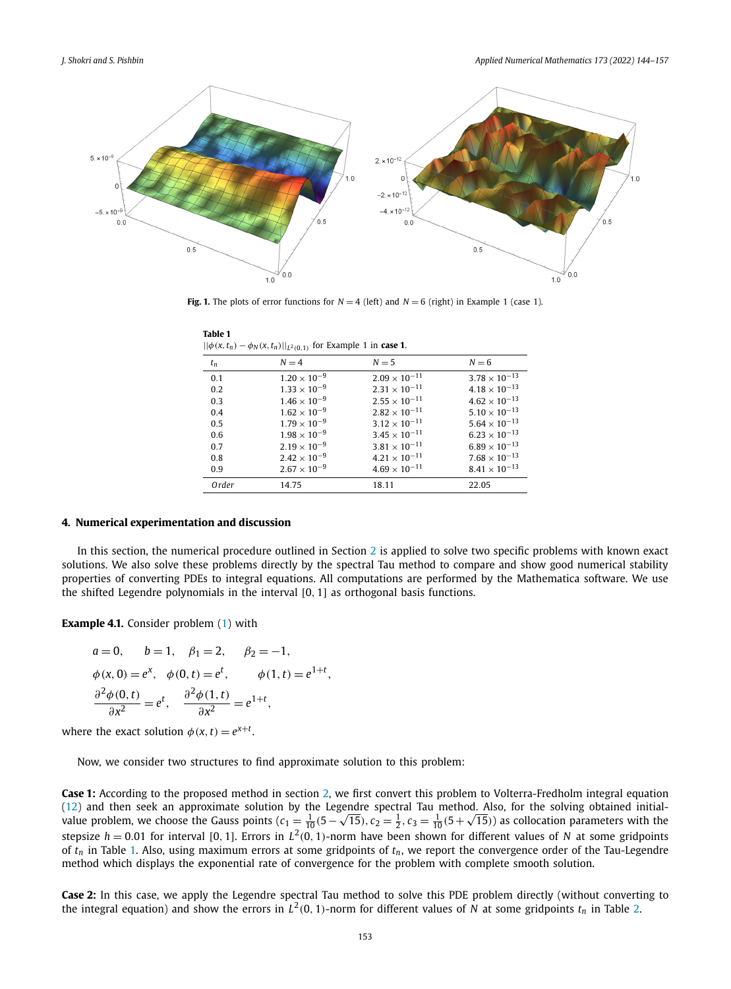<span id="page-9-0"></span>

**Fig. 1.** The plots of error functions for  $N = 4$  (left) and  $N = 6$  (right) in Example 1 (case 1).

| $  \varphi(x, t_n) - \varphi_N(x, t_n)  _{L^2(0,1)}$ for example 1 in case 1. |                       |                        |                        |
|-------------------------------------------------------------------------------|-----------------------|------------------------|------------------------|
| $t_n$                                                                         | $N = 4$               | $N = 5$                | $N = 6$                |
| 0.1                                                                           | $1.20 \times 10^{-9}$ | $2.09 \times 10^{-11}$ | $3.78 \times 10^{-13}$ |
| 0.2                                                                           | $1.33 \times 10^{-9}$ | $2.31 \times 10^{-11}$ | $4.18 \times 10^{-13}$ |
| 0.3                                                                           | $1.46 \times 10^{-9}$ | $2.55 \times 10^{-11}$ | $4.62 \times 10^{-13}$ |
| 0.4                                                                           | $1.62 \times 10^{-9}$ | $2.82 \times 10^{-11}$ | $5.10 \times 10^{-13}$ |
| 0.5                                                                           | $1.79 \times 10^{-9}$ | $3.12 \times 10^{-11}$ | $5.64 \times 10^{-13}$ |
| 0.6                                                                           | $1.98 \times 10^{-9}$ | $3.45 \times 10^{-11}$ | $6.23 \times 10^{-13}$ |
| 0.7                                                                           | $2.19 \times 10^{-9}$ | $3.81 \times 10^{-11}$ | $6.89 \times 10^{-13}$ |
| 0.8                                                                           | $2.42 \times 10^{-9}$ | $4.21 \times 10^{-11}$ | $7.68 \times 10^{-13}$ |
| 0.9                                                                           | $2.67 \times 10^{-9}$ | $4.69 \times 10^{-11}$ | $8.41 \times 10^{-13}$ |
| Order                                                                         | 14.75                 | 18.11                  | 22.05                  |

**Table 1** ||*φ(x,tn)* − *φ<sup>N</sup> (x,tn)*||*L*2*(*0*,*1*)* for Example 1 in **case 1**.

#### **4. Numerical experimentation and discussion**

In this section, the numerical procedure outlined in Section [2](#page-1-0) is applied to solve two specific problems with known exact solutions. We also solve these problems directly by the spectral Tau method to compare and show good numerical stability properties of converting PDEs to integral equations. All computations are performed by the Mathematica software. We use the shifted Legendre polynomials in the interval [0*,* 1] as orthogonal basis functions.

**Example 4.1.** Consider problem ([1](#page-1-0)) with

$$
a = 0,
$$
  $b = 1,$   $\beta_1 = 2,$   $\beta_2 = -1,$   
\n $\phi(x, 0) = e^x,$   $\phi(0, t) = e^t,$   $\phi(1, t) = e^{1+t},$   
\n $\frac{\partial^2 \phi(0, t)}{\partial x^2} = e^t,$   $\frac{\partial^2 \phi(1, t)}{\partial x^2} = e^{1+t},$ 

where the exact solution  $\phi(x, t) = e^{x+t}$ .

Now, we consider two structures to find approximate solution to this problem:

**Case 1:** According to the proposed method in section [2](#page-1-0), we first convert this problem to Volterra-Fredholm integral equation ([12](#page-3-0)) and then seek an approximate solution by the Legendre spectral Tau method. Also, for the solving obtained initial-(12) and then seek an approximate solution by the Legendre spectral lau method. Also, for the solving obtained initial-<br>value problem, we choose the Gauss points ( $c_1 = \frac{1}{10}(5 - \sqrt{15})$ ,  $c_2 = \frac{1}{2}$ ,  $c_3 = \frac{1}{10}(5 + \sqrt{$ stepsize  $h = 0.01$  for interval [0, 1]. Errors in  $L^2(0, 1)$ -norm have been shown for different values of *N* at some gridpoints of *tn* in Table 1. Also, using maximum errors at some gridpoints of *tn*, we report the convergence order of the Tau-Legendre method which displays the exponential rate of convergence for the problem with complete smooth solution.

**Case 2:** In this case, we apply the Legendre spectral Tau method to solve this PDE problem directly (without converting to the integral equation) and show the errors in  $L^2(0, 1)$ -norm for different values of *N* at some gridpoints  $t_n$  in Table [2.](#page-10-0)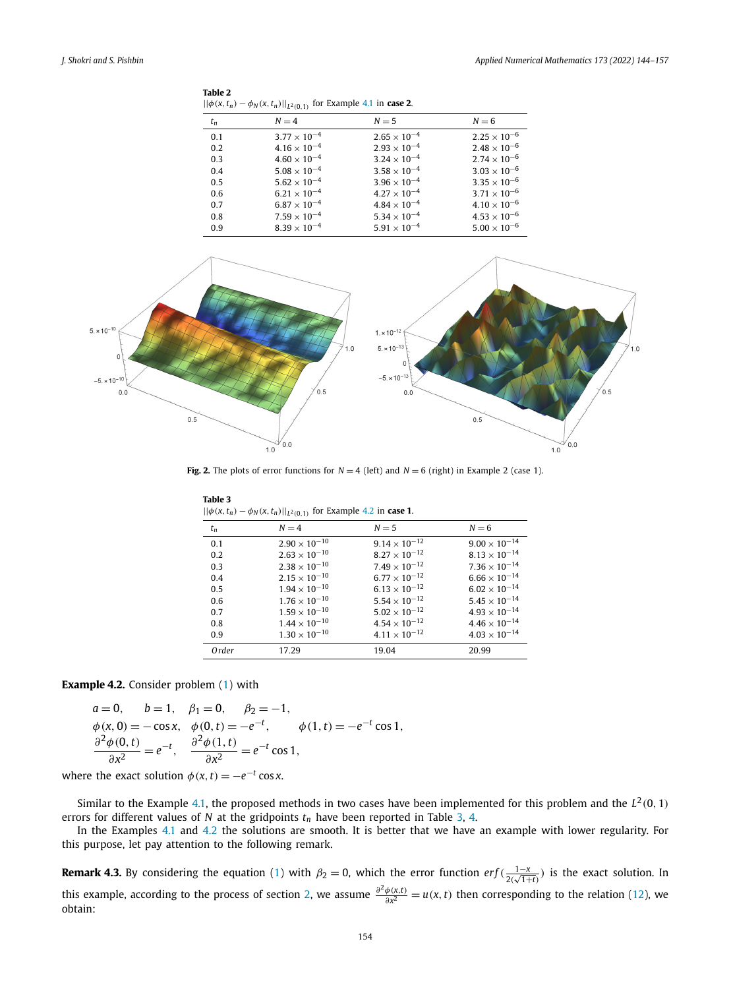<span id="page-10-0"></span>

| Table 2                                                                   |  |
|---------------------------------------------------------------------------|--|
| $  \phi(x, t_n) - \phi_N(x, t_n)  _{L^2(0,1)}$ for Example 4.1 in case 2. |  |

| $t_n$ | $N = 4$               | $N=5$                 | $N = 6$               |
|-------|-----------------------|-----------------------|-----------------------|
| 0.1   | $3.77 \times 10^{-4}$ | $2.65 \times 10^{-4}$ | $2.25 \times 10^{-6}$ |
| 0.2   | $4.16 \times 10^{-4}$ | $2.93 \times 10^{-4}$ | $2.48 \times 10^{-6}$ |
| 0.3   | $4.60 \times 10^{-4}$ | $3.24 \times 10^{-4}$ | $2.74 \times 10^{-6}$ |
| 0.4   | $5.08 \times 10^{-4}$ | $3.58 \times 10^{-4}$ | $3.03 \times 10^{-6}$ |
| 0.5   | $5.62 \times 10^{-4}$ | $3.96 \times 10^{-4}$ | $3.35 \times 10^{-6}$ |
| 0.6   | $6.21 \times 10^{-4}$ | $4.27 \times 10^{-4}$ | $3.71 \times 10^{-6}$ |
| 0.7   | $6.87 \times 10^{-4}$ | $4.84 \times 10^{-4}$ | $4.10 \times 10^{-6}$ |
| 0.8   | $7.59 \times 10^{-4}$ | $5.34 \times 10^{-4}$ | $4.53 \times 10^{-6}$ |
| 0.9   | $8.39 \times 10^{-4}$ | $5.91 \times 10^{-4}$ | $5.00 \times 10^{-6}$ |



**Fig. 2.** The plots of error functions for  $N = 4$  (left) and  $N = 6$  (right) in Example 2 (case 1).

| $  \varphi(x, t_n) - \varphi_N(x, t_n)  _{L^2(0,1)}$ for example 4.2 in <b>case 1.</b> |                        |                        |                        |
|----------------------------------------------------------------------------------------|------------------------|------------------------|------------------------|
| $t_n$                                                                                  | $N = 4$                | $N = 5$                | $N = 6$                |
| 0.1                                                                                    | $2.90 \times 10^{-10}$ | $9.14 \times 10^{-12}$ | $9.00 \times 10^{-14}$ |
| 0.2                                                                                    | $2.63 \times 10^{-10}$ | $8.27 \times 10^{-12}$ | $8.13 \times 10^{-14}$ |
| 0.3                                                                                    | $2.38 \times 10^{-10}$ | $7.49 \times 10^{-12}$ | $7.36 \times 10^{-14}$ |
| 0.4                                                                                    | $2.15 \times 10^{-10}$ | $6.77 \times 10^{-12}$ | $6.66 \times 10^{-14}$ |
| 0.5                                                                                    | $1.94 \times 10^{-10}$ | $6.13 \times 10^{-12}$ | $6.02 \times 10^{-14}$ |
| 0.6                                                                                    | $1.76 \times 10^{-10}$ | $5.54 \times 10^{-12}$ | $5.45 \times 10^{-14}$ |
| 0.7                                                                                    | $1.59 \times 10^{-10}$ | $5.02 \times 10^{-12}$ | $4.93 \times 10^{-14}$ |
| 0.8                                                                                    | $1.44 \times 10^{-10}$ | $4.54 \times 10^{-12}$ | $4.46 \times 10^{-14}$ |
| 0.9                                                                                    | $1.30 \times 10^{-10}$ | $4.11 \times 10^{-12}$ | $4.03 \times 10^{-14}$ |
| Order                                                                                  | 17.29                  | 19.04                  | 20.99                  |

**Table 3** ||*φ(x,tn)* − *φ<sup>N</sup> (x,tn)*||*L*2*(*0*,*1*)* for Example 4.2 in **case 1**.

**Example 4.2.** Consider problem ([1](#page-1-0)) with

$$
a = 0, \t b = 1, \t \beta_1 = 0, \t \beta_2 = -1,
$$
  
\n
$$
\phi(x, 0) = -\cos x, \t \phi(0, t) = -e^{-t}, \t \phi(1, t) = -e^{-t} \cos 1,
$$
  
\n
$$
\frac{\partial^2 \phi(0, t)}{\partial x^2} = e^{-t}, \t \frac{\partial^2 \phi(1, t)}{\partial x^2} = e^{-t} \cos 1,
$$

where the exact solution  $\phi(x, t) = -e^{-t} \cos x$ .

Similar to the Example [4.1,](#page-9-0) the proposed methods in two cases have been implemented for this problem and the  $L^2(0, 1)$ errors for different values of  $N$  at the gridpoints  $t_n$  have been reported in Table 3, [4.](#page-11-0)

In the Examples [4.1](#page-9-0) and 4.2 the solutions are smooth. It is better that we have an example with lower regularity. For this purpose, let pay attention to the following remark.

**Remark 4.3.** By considering the equation [\(1\)](#page-1-0) with  $\beta_2 = 0$ , which the error function  $erf(\frac{1-x}{2(\sqrt{1+t})})$  is the exact solution. In this example, according to the process of section [2,](#page-1-0) we assume  $\frac{\partial^2 \phi(x,t)}{\partial x^2} = u(x,t)$  then corresponding to the relation [\(12\)](#page-3-0), we obtain: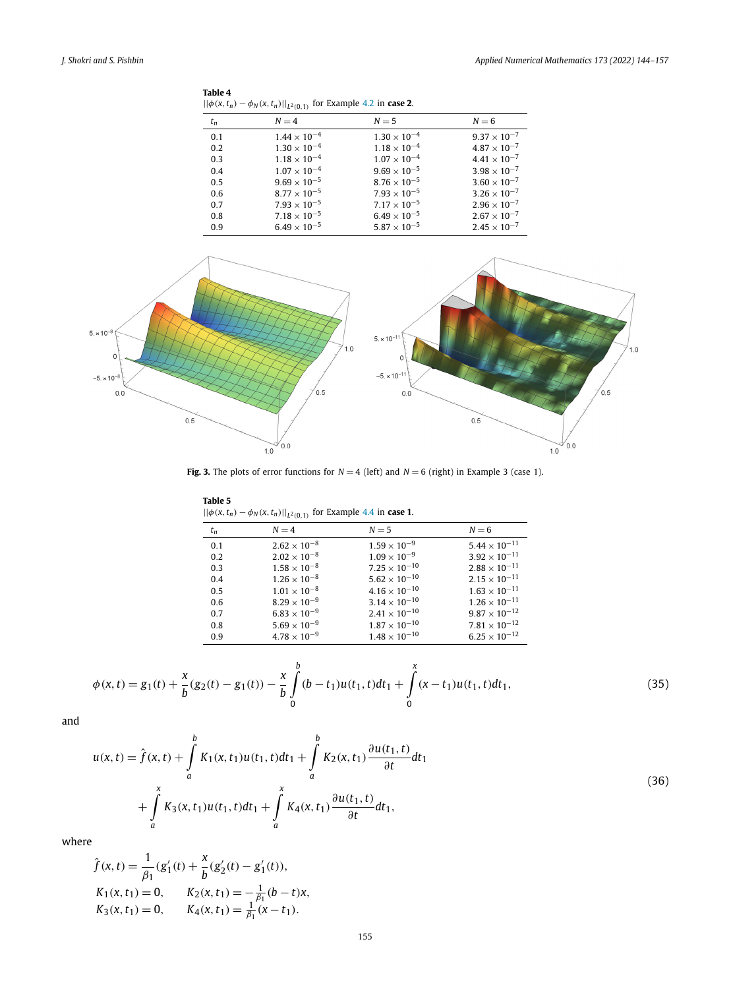<span id="page-11-0"></span>

| Table 4                                                                           |  |
|-----------------------------------------------------------------------------------|--|
| $  \phi(x, t_n) - \phi_N(x, t_n)  _{L^2(0,1)}$ for Example 4.2 in <b>case 2</b> . |  |

| $t_n$ | $N = 4$               | $N=5$                 | $N = 6$               |
|-------|-----------------------|-----------------------|-----------------------|
| 0.1   | $1.44 \times 10^{-4}$ | $1.30 \times 10^{-4}$ | $9.37 \times 10^{-7}$ |
| 0.2   | $1.30 \times 10^{-4}$ | $1.18 \times 10^{-4}$ | $4.87 \times 10^{-7}$ |
| 0.3   | $1.18 \times 10^{-4}$ | $1.07 \times 10^{-4}$ | $4.41 \times 10^{-7}$ |
| 0.4   | $1.07 \times 10^{-4}$ | $9.69 \times 10^{-5}$ | $3.98 \times 10^{-7}$ |
| 0.5   | $9.69 \times 10^{-5}$ | $8.76 \times 10^{-5}$ | $3.60 \times 10^{-7}$ |
| 0.6   | $8.77 \times 10^{-5}$ | $7.93 \times 10^{-5}$ | $3.26 \times 10^{-7}$ |
| 0.7   | $7.93 \times 10^{-5}$ | $7.17 \times 10^{-5}$ | $2.96 \times 10^{-7}$ |
| 0.8   | $7.18 \times 10^{-5}$ | $6.49 \times 10^{-5}$ | $2.67 \times 10^{-7}$ |
| 0.9   | $6.49 \times 10^{-5}$ | $5.87 \times 10^{-5}$ | $2.45 \times 10^{-7}$ |



**Fig. 3.** The plots of error functions for  $N = 4$  (left) and  $N = 6$  (right) in Example 3 (case 1).

| Table 5                                                                           |  |
|-----------------------------------------------------------------------------------|--|
| $  \phi(x, t_n) - \phi_N(x, t_n)  _{L^2(0,1)}$ for Example 4.4 in <b>case 1</b> . |  |

|       | $11.7 \times 11.7 \times 11.7 \times 11.7 \times 11.7 \times 11.7 \times 11.7 \times 11.7 \times 11.7 \times 11.7 \times 11.7 \times 11.7 \times 11.7 \times 11.7 \times 11.7 \times 11.7 \times 11.7 \times 11.7 \times 11.7 \times 11.7 \times 11.7 \times 11.7 \times 11.7 \times 11.7 \times 11.7 \times 11.7 \times 11.7 \times 11.7 \times 11.7 \times 11.7 \times 11.7 \times 11.$ |                        |                        |
|-------|-------------------------------------------------------------------------------------------------------------------------------------------------------------------------------------------------------------------------------------------------------------------------------------------------------------------------------------------------------------------------------------------|------------------------|------------------------|
| $t_n$ | $N = 4$                                                                                                                                                                                                                                                                                                                                                                                   | $N=5$                  | $N = 6$                |
| 0.1   | $2.62 \times 10^{-8}$                                                                                                                                                                                                                                                                                                                                                                     | $1.59 \times 10^{-9}$  | $5.44 \times 10^{-11}$ |
| 0.2   | $2.02 \times 10^{-8}$                                                                                                                                                                                                                                                                                                                                                                     | $1.09 \times 10^{-9}$  | $3.92 \times 10^{-11}$ |
| 0.3   | $1.58 \times 10^{-8}$                                                                                                                                                                                                                                                                                                                                                                     | $7.25 \times 10^{-10}$ | $2.88 \times 10^{-11}$ |
| 0.4   | $1.26 \times 10^{-8}$                                                                                                                                                                                                                                                                                                                                                                     | $5.62 \times 10^{-10}$ | $2.15 \times 10^{-11}$ |
| 0.5   | $1.01 \times 10^{-8}$                                                                                                                                                                                                                                                                                                                                                                     | $4.16 \times 10^{-10}$ | $1.63 \times 10^{-11}$ |
| 0.6   | $8.29 \times 10^{-9}$                                                                                                                                                                                                                                                                                                                                                                     | $3.14 \times 10^{-10}$ | $1.26 \times 10^{-11}$ |
| 0.7   | $6.83 \times 10^{-9}$                                                                                                                                                                                                                                                                                                                                                                     | $2.41 \times 10^{-10}$ | $9.87 \times 10^{-12}$ |
| 0.8   | $5.69 \times 10^{-9}$                                                                                                                                                                                                                                                                                                                                                                     | $1.87 \times 10^{-10}$ | $7.81 \times 10^{-12}$ |
| 0.9   | $4.78 \times 10^{-9}$                                                                                                                                                                                                                                                                                                                                                                     | $1.48 \times 10^{-10}$ | $6.25 \times 10^{-12}$ |

$$
\phi(x,t) = g_1(t) + \frac{x}{b}(g_2(t) - g_1(t)) - \frac{x}{b} \int_0^b (b - t_1)u(t_1,t)dt_1 + \int_0^x (x - t_1)u(t_1,t)dt_1,
$$
\n(35)

and

$$
u(x,t) = \hat{f}(x,t) + \int_{a}^{b} K_1(x,t_1)u(t_1,t)dt_1 + \int_{a}^{b} K_2(x,t_1)\frac{\partial u(t_1,t)}{\partial t}dt_1
$$
  
+ 
$$
\int_{a}^{x} K_3(x,t_1)u(t_1,t)dt_1 + \int_{a}^{x} K_4(x,t_1)\frac{\partial u(t_1,t)}{\partial t}dt_1,
$$
 (36)

where

$$
\hat{f}(x,t) = \frac{1}{\beta_1} (g'_1(t) + \frac{x}{b} (g'_2(t) - g'_1(t)),
$$
\n
$$
K_1(x,t_1) = 0, \qquad K_2(x,t_1) = -\frac{1}{\beta_1} (b-t)x,
$$
\n
$$
K_3(x,t_1) = 0, \qquad K_4(x,t_1) = \frac{1}{\beta_1} (x-t_1).
$$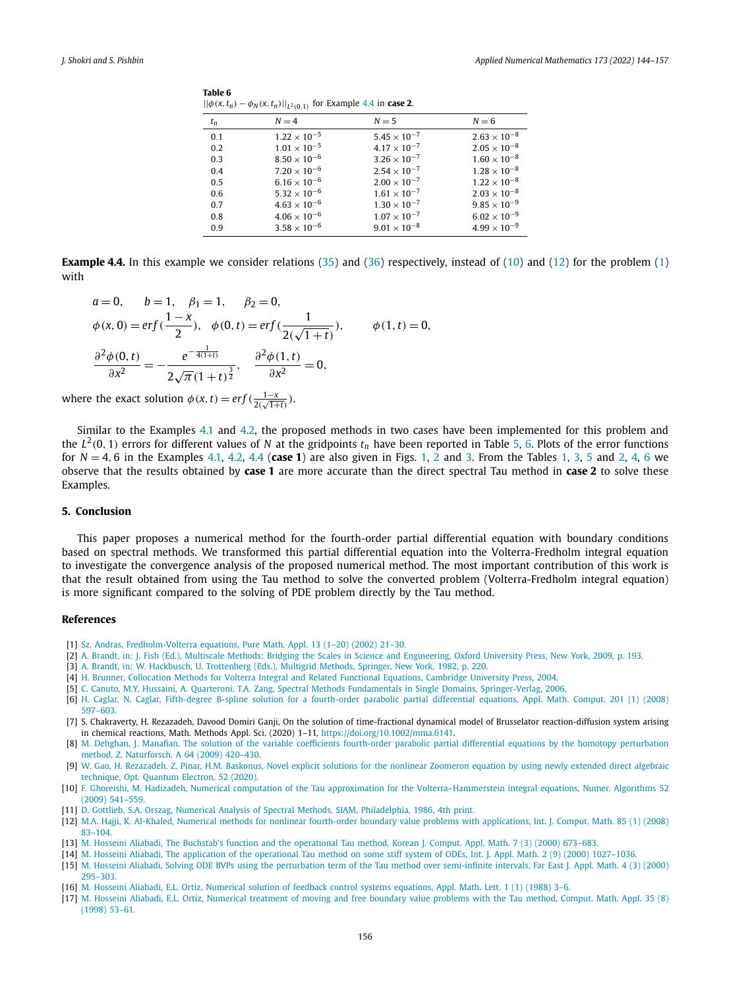| $t_n$ | $N = 4$               | $N=5$                 | $N = 6$               |
|-------|-----------------------|-----------------------|-----------------------|
| 0.1   | $1.22 \times 10^{-5}$ | $5.45 \times 10^{-7}$ | $2.63 \times 10^{-8}$ |
| 0.2   | $1.01 \times 10^{-5}$ | $4.17 \times 10^{-7}$ | $2.05 \times 10^{-8}$ |
| 0.3   | $8.50 \times 10^{-6}$ | $3.26 \times 10^{-7}$ | $1.60 \times 10^{-8}$ |
| 0.4   | $7.20 \times 10^{-6}$ | $2.54 \times 10^{-7}$ | $1.28 \times 10^{-8}$ |
| 0.5   | $6.16 \times 10^{-6}$ | $2.00 \times 10^{-7}$ | $1.22 \times 10^{-8}$ |
| 0.6   | $5.32 \times 10^{-6}$ | $1.61 \times 10^{-7}$ | $2.03 \times 10^{-8}$ |
| 0.7   | $4.63 \times 10^{-6}$ | $1.30 \times 10^{-7}$ | $9.85 \times 10^{-9}$ |
| 0.8   | $4.06 \times 10^{-6}$ | $1.07 \times 10^{-7}$ | $6.02 \times 10^{-9}$ |
| 0.9   | $3.58 \times 10^{-6}$ | $9.01 \times 10^{-8}$ | $4.99 \times 10^{-9}$ |

<span id="page-12-0"></span>**Table 6** | $|\phi(x, t_n) - \phi_N(x, t_n)|$ | $|_{L^2(\Omega, 1)}$  for Example 4.4 in **case 2**.

**Example 4.4.** In this example we consider relations [\(35](#page-11-0)) and [\(36\)](#page-11-0) respectively, instead of [\(10\)](#page-3-0) and [\(12\)](#page-3-0) for the problem ([1](#page-1-0)) with

$$
a = 0, \t b = 1, \t \beta_1 = 1, \t \beta_2 = 0,
$$
  
\n
$$
\phi(x, 0) = erf(\frac{1 - x}{2}), \t \phi(0, t) = erf(\frac{1}{2(\sqrt{1 + t})}), \t \phi(1, t) = 0,
$$
  
\n
$$
\frac{\partial^2 \phi(0, t)}{\partial x^2} = -\frac{e^{-\frac{1}{4(1 + t)}}}{2\sqrt{\pi}(1 + t)^{\frac{3}{2}}}, \t \frac{\partial^2 \phi(1, t)}{\partial x^2} = 0,
$$

where the exact solution  $\phi(x, t) = erf(\frac{1-x}{2(\sqrt{1+t})}).$ 

Similar to the Examples [4.1](#page-9-0) and [4.2](#page-10-0), the proposed methods in two cases have been implemented for this problem and the  $L^2(0, 1)$  errors for different values of N at the gridpoints  $t_n$  have been reported in Table [5](#page-11-0), 6. Plots of the error functions for *N* = 4*,* 6 in the Examples [4.1,](#page-9-0) [4.2,](#page-10-0) 4.4 (**case 1**) are also given in Figs. [1,](#page-9-0) [2](#page-10-0) and [3](#page-11-0). From the Tables [1](#page-9-0), [3](#page-10-0), [5](#page-11-0) and [2,](#page-10-0) [4](#page-11-0), 6 we observe that the results obtained by **case 1** are more accurate than the direct spectral Tau method in **case 2** to solve these Examples.

### **5. Conclusion**

This paper proposes a numerical method for the fourth-order partial differential equation with boundary conditions based on spectral methods. We transformed this partial differential equation into the Volterra-Fredholm integral equation to investigate the convergence analysis of the proposed numerical method. The most important contribution of this work is that the result obtained from using the Tau method to solve the converted problem (Volterra-Fredholm integral equation) is more significant compared to the solving of PDE problem directly by the Tau method.

#### **References**

- [1] Sz. Andras, [Fredholm-Volterra](http://refhub.elsevier.com/S0168-9274(21)00332-9/bib49B7559C10E7BB9D7979C398CB5F4A59s1) equations, Pure Math. Appl. 13 (1–20) (2002) 21–30.
- [2] A. Brandt, in: J. Fish (Ed.), Multiscale Methods: Bridging the Scales in Science and [Engineering,](http://refhub.elsevier.com/S0168-9274(21)00332-9/bib86A45EED8AF7CFB2FAB6A8230E95B5A7s1) Oxford University Press, New York, 2009, p. 193.
- [3] A. Brandt, in: W. Hackbusch, U. [Trottenberg](http://refhub.elsevier.com/S0168-9274(21)00332-9/bib55CE311F49FD2853E5108AFE0FA474AEs1) (Eds.), Multigrid Methods, Springer, New York, 1982, p. 220.
- [4] H. Brunner, [Collocation](http://refhub.elsevier.com/S0168-9274(21)00332-9/bib8CED689733D29D5FD000C97BACD9B9D1s1) Methods for Volterra Integral and Related Functional Equations, Cambridge University Press, 2004.
- [5] C. Canuto, M.Y. Hussaini, A. Quarteroni, T.A. Zang, Spectral Methods Fundamentals in Single Domains, [Springer-Verlag,](http://refhub.elsevier.com/S0168-9274(21)00332-9/bibAAB3238922BCC25A6F606EB525FFDC56s1) 2006.
- [6] H. Caglar, N. Caglar, Fifth-degree B-spline solution for a [fourth-order](http://refhub.elsevier.com/S0168-9274(21)00332-9/bibD577D34092BBFC9C35C6D16BA03CF814s1) parabolic partial differential equations, Appl. Math. Comput. 201 (1) (2008) [597–603.](http://refhub.elsevier.com/S0168-9274(21)00332-9/bibD577D34092BBFC9C35C6D16BA03CF814s1)
- [7] S. Chakraverty, H. Rezazadeh, Davood Domiri Ganji, On the solution of time-fractional dynamical model of Brusselator reaction-diffusion system arising in chemical reactions, Math. Methods Appl. Sci. (2020) 1–11, [https://doi.org/10.1002/mma.6141.](https://doi.org/10.1002/mma.6141)
- [8] M. Dehghan, J. Manafian, The solution of the variable coefficients fourth-order parabolic partial differential equations by the homotopy [perturbation](http://refhub.elsevier.com/S0168-9274(21)00332-9/bib9DB7A354373FC053A0EC8DED8D23E567s1) method, Z. [Naturforsch.](http://refhub.elsevier.com/S0168-9274(21)00332-9/bib9DB7A354373FC053A0EC8DED8D23E567s1) A 64 (2009) 420–430.
- [9] W. Gao, H. [Rezazadeh,](http://refhub.elsevier.com/S0168-9274(21)00332-9/bib7C92CF1EEE8D99CC85F8355A3D6E4B86s1) Z. Pinar, H.M. Baskonus, Novel explicit solutions for the nonlinear Zoomeron equation by using newly extended direct algebraic [technique,](http://refhub.elsevier.com/S0168-9274(21)00332-9/bib7C92CF1EEE8D99CC85F8355A3D6E4B86s1) Opt. Quantum Electron. 52 (2020).
- [10] F. Ghoreishi, M. Hadizadeh, Numerical computation of the Tau approximation for the [Volterra–Hammerstein](http://refhub.elsevier.com/S0168-9274(21)00332-9/bib71312B191BC55DF98ABFC14C79F51B40s1) integral equations, Numer. Algorithms 52 (2009) [541–559.](http://refhub.elsevier.com/S0168-9274(21)00332-9/bib71312B191BC55DF98ABFC14C79F51B40s1)
- [11] D. Gottlieb, S.A. Orszag, Numerical Analysis of Spectral Methods, SIAM, [Philadelphia,](http://refhub.elsevier.com/S0168-9274(21)00332-9/bibCDCFD9A3E290CB14AD4744E48B2D41F8s1) 1986, 4th print.
- [12] M.A. Hajji, K. Al-Khaled, Numerical methods for nonlinear fourth-order boundary value problems with [applications,](http://refhub.elsevier.com/S0168-9274(21)00332-9/bib5DDB6A606D19DCC870F23726F2830CE8s1) Int. J. Comput. Math. 85 (1) (2008) [83–104.](http://refhub.elsevier.com/S0168-9274(21)00332-9/bib5DDB6A606D19DCC870F23726F2830CE8s1)
- [13] M. Hosseini Aliabadi, The Buchstab's function and the [operational](http://refhub.elsevier.com/S0168-9274(21)00332-9/bib66EDC8224A054DF176D755AE82BC7FB7s1) Tau method, Korean J. Comput. Appl. Math. 7 (3) (2000) 673–683.
- [14] M. Hosseini Aliabadi, The application of the operational Tau method on some stiff system of ODEs, Int. J. Appl. Math. 2 (9) (2000) [1027–1036.](http://refhub.elsevier.com/S0168-9274(21)00332-9/bib9596280D73F4C278A2878E7D6383B5EBs1)
- [15] M. Hosseini Aliabadi, Solving ODE BVPs using the perturbation term of the Tau method over [semi-infinite](http://refhub.elsevier.com/S0168-9274(21)00332-9/bibE5CA51105F933C420E48EBAA2ABAFB35s1) intervals, Far East J. Appl. Math. 4 (3) (2000) [295–303.](http://refhub.elsevier.com/S0168-9274(21)00332-9/bibE5CA51105F933C420E48EBAA2ABAFB35s1)
- [16] M. Hosseini Aliabadi, E.L. Ortiz, [Numerical](http://refhub.elsevier.com/S0168-9274(21)00332-9/bib6050B64B6AD6FA8F163CA9E06C05A815s1) solution of feedback control systems equations, Appl. Math. Lett. 1 (1) (1988) 3–6.
- [17] M. Hosseini Aliabadi, E.L. Ortiz, [Numerical](http://refhub.elsevier.com/S0168-9274(21)00332-9/bib6A0CF6EDF20060344B465706B61719AAs1) treatment of moving and free boundary value problems with the Tau method, Comput. Math. Appl. 35 (8) [\(1998\)](http://refhub.elsevier.com/S0168-9274(21)00332-9/bib6A0CF6EDF20060344B465706B61719AAs1) 53–61.